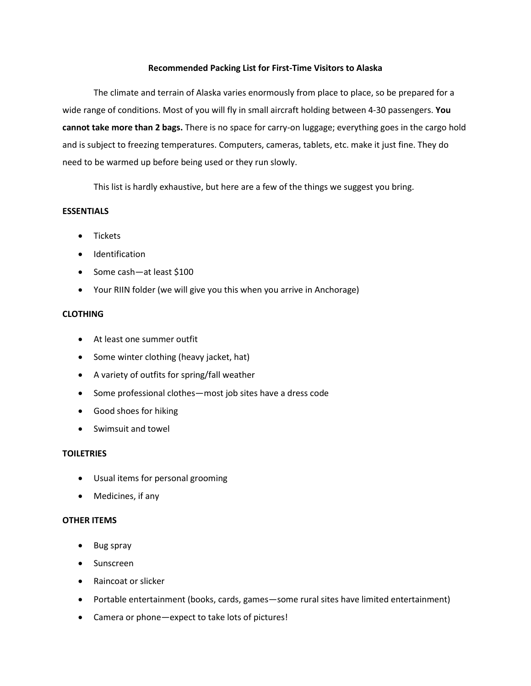# **Recommended Packing List for First-Time Visitors to Alaska**

The climate and terrain of Alaska varies enormously from place to place, so be prepared for a wide range of conditions. Most of you will fly in small aircraft holding between 4-30 passengers. **You cannot take more than 2 bags.** There is no space for carry-on luggage; everything goes in the cargo hold and is subject to freezing temperatures. Computers, cameras, tablets, etc. make it just fine. They do need to be warmed up before being used or they run slowly.

This list is hardly exhaustive, but here are a few of the things we suggest you bring.

# **ESSENTIALS**

- Tickets
- **•** Identification
- Some cash—at least \$100
- Your RIIN folder (we will give you this when you arrive in Anchorage)

# **CLOTHING**

- At least one summer outfit
- Some winter clothing (heavy jacket, hat)
- A variety of outfits for spring/fall weather
- Some professional clothes—most job sites have a dress code
- Good shoes for hiking
- Swimsuit and towel

# **TOILETRIES**

- Usual items for personal grooming
- Medicines, if any

#### **OTHER ITEMS**

- Bug spray
- Sunscreen
- Raincoat or slicker
- Portable entertainment (books, cards, games—some rural sites have limited entertainment)
- Camera or phone—expect to take lots of pictures!